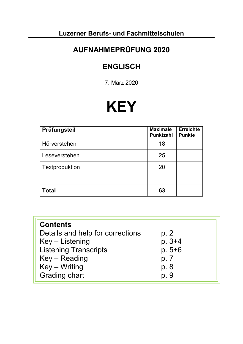# **Luzerner Berufs- und Fachmittelschulen**

# **AUFNAHMEPRÜFUNG 2020**

# **ENGLISCH**

7. März 2020

# **KEY**

| Prüfungsteil   | <b>Maximale</b><br><b>Punktzahl</b> | <b>Erreichte</b><br><b>Punkte</b> |
|----------------|-------------------------------------|-----------------------------------|
| Hörverstehen   | 18                                  |                                   |
| Leseverstehen  | 25                                  |                                   |
| Textproduktion | 20                                  |                                   |
|                |                                     |                                   |
| <b>Total</b>   | 63                                  |                                   |

| <b>Contents</b>                  |         |
|----------------------------------|---------|
| Details and help for corrections | p. 2    |
| Key – Listening                  | p. 3+4  |
| <b>Listening Transcripts</b>     | $p.5+6$ |
| $Key - Reading$                  | p. 7    |
| $Key - Writing$                  | p. 8    |
| <b>Grading chart</b>             | p. 9    |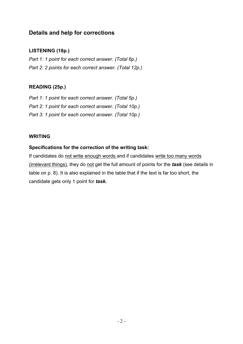# **Details and help for corrections**

### **LISTENING (18p.)**

*Part 1: 1 point for each correct answer. (Total 6p.) Part 2: 2 points for each correct answer. (Total 12p.)*

## **READING (25p.)**

*Part 1: 1 point for each correct answer. (Total 5p.) Part 2: 1 point for each correct answer. (Total 10p.) Part 3: 1 point for each correct answer. (Total 10p.)*

### **WRITING**

### **Specifications for the correction of the writing task:**

If candidates do not write enough words and if candidates write too many words (irrelevant things), they do not get the full amount of points for the *task* (see details in table on p. 8). It is also explained in the table that if the text is far too short, the candidate gets only 1 point for *task.*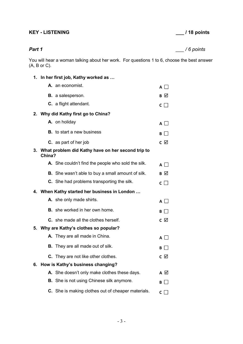# **KEY - LISTENING \_\_\_ / 18 points**

*Part 1 \_\_\_ / 6 points*

You will hear a woman talking about her work. For questions 1 to 6, choose the best answer (A, B or C).

|        | 1. In her first job, Kathy worked as                     |                     |
|--------|----------------------------------------------------------|---------------------|
|        | A. an economist.                                         | AII                 |
|        | <b>B.</b> a salesperson.                                 | B⊠                  |
|        | <b>C.</b> a flight attendant.                            | $\mathsf{C}$ $\Box$ |
|        | 2. Why did Kathy first go to China?                      |                     |
|        | A. on holiday                                            | $A$                 |
|        | <b>B.</b> to start a new business                        | В                   |
|        | <b>C.</b> as part of her job                             | c ☑                 |
| China? | 3. What problem did Kathy have on her second trip to     |                     |
|        | A. She couldn't find the people who sold the silk.       | AII                 |
|        | <b>B.</b> She wasn't able to buy a small amount of silk. | B⊠                  |
|        | <b>C.</b> She had problems transporting the silk.        | $C$                 |
|        | 4. When Kathy started her business in London             |                     |
|        | A. she only made shirts.                                 | $A$                 |
|        | <b>B.</b> she worked in her own home.                    | B                   |
|        | <b>C.</b> she made all the clothes herself.              | c ☑                 |
|        | 5. Why are Kathy's clothes so popular?                   |                     |
|        | A. They are all made in China.                           | $\mathsf{A}$        |
|        | <b>B.</b> They are all made out of silk.                 | B I                 |
|        | C. They are not like other clothes                       | c ☑                 |
|        | 6. How is Kathy's business changing?                     |                     |
|        | A. She doesn't only make clothes these days.             | A ☑                 |
|        | <b>B.</b> She is not using Chinese silk anymore.         | B                   |
|        | C. She is making clothes out of cheaper materials.       | C I                 |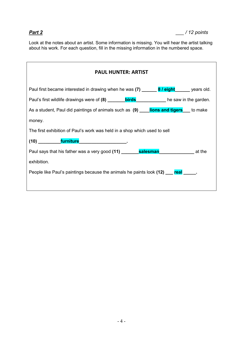Look at the notes about an artist. Some information is missing. You will hear the artist talking about his work. For each question, fill in the missing information in the numbered space.

| <b>PAUL HUNTER: ARTIST</b>                                                                            |  |  |  |  |  |  |  |  |
|-------------------------------------------------------------------------------------------------------|--|--|--|--|--|--|--|--|
| Paul first became interested in drawing when he was (7) ______ 8 / eight______ years old.             |  |  |  |  |  |  |  |  |
| Paul's first wildlife drawings were of (8) <b>_________birds</b> _______________he saw in the garden. |  |  |  |  |  |  |  |  |
| As a student, Paul did paintings of animals such as (9) ___ <b>lions and tigers</b> ___ to make       |  |  |  |  |  |  |  |  |
| money.                                                                                                |  |  |  |  |  |  |  |  |
| The first exhibition of Paul's work was held in a shop which used to sell                             |  |  |  |  |  |  |  |  |
| (10) ______________furniture________________________________                                          |  |  |  |  |  |  |  |  |
| Paul says that his father was a very good (11) ________ <b>salesman</b> _____________________at the   |  |  |  |  |  |  |  |  |
| exhibition.                                                                                           |  |  |  |  |  |  |  |  |
| People like Paul's paintings because the animals he paints look (12) real real                        |  |  |  |  |  |  |  |  |
|                                                                                                       |  |  |  |  |  |  |  |  |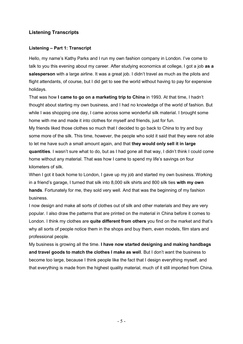### **Listening Transcripts**

### **Listening – Part 1: Transcript**

Hello, my name's Kathy Parks and I run my own fashion company in London. I've come to talk to you this evening about my career. After studying economics at college, I got a job **as a salesperson** with a large airline. It was a great job. I didn't travel as much as the pilots and flight attendants, of course, but I did get to see the world without having to pay for expensive holidays.

That was how **I came to go on a marketing trip to China** in 1993. At that time, I hadn't thought about starting my own business, and I had no knowledge of the world of fashion. But while I was shopping one day, I came across some wonderful silk material. I brought some home with me and made it into clothes for myself and friends, just for fun.

My friends liked those clothes so much that I decided to go back to China to try and buy some more of the silk. This time, however, the people who sold it said that they were not able to let me have such a small amount again, and that **they would only sell it in large quantities**. I wasn't sure what to do, but as I had gone all that way, I didn't think I could come home without any material. That was how I came to spend my life's savings on four kilometers of silk.

When I got it back home to London, I gave up my job and started my own business. Working in a friend's garage, I turned that silk into 8,000 silk shirts and 800 silk ties **with my own hands**. Fortunately for me, they sold very well. And that was the beginning of my fashion business.

I now design and make all sorts of clothes out of silk and other materials and they are very popular. I also draw the patterns that are printed on the material in China before it comes to London. I think my clothes are **quite different from others** you find on the market and that's why all sorts of people notice them in the shops and buy them, even models, film stars and professional people.

My business is growing all the time. **I have now started designing and making handbags and travel goods to match the clothes I make as well**. But I don't want the business to become too large, because I think people like the fact that I design everything myself, and that everything is made from the highest quality material, much of it still imported from China.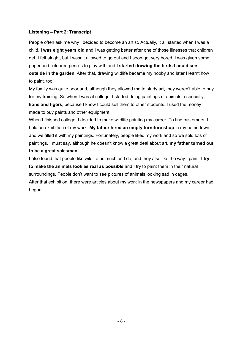### **Listening – Part 2: Transcript**

People often ask me why I decided to become an artist. Actually, it all started when I was a child. **I was eight years old** and I was getting better after one of those illnesses that children get. I felt alright, but I wasn't allowed to go out and I soon got very bored. I was given some paper and coloured pencils to play with and **I started drawing the birds I could see outside in the garden**. After that, drawing wildlife became my hobby and later I learnt how to paint, too.

My family was quite poor and, although they allowed me to study art, they weren't able to pay for my training. So when I was at college, I started doing paintings of animals, especially **lions and tigers**, because I know I could sell them to other students. I used the money I made to buy paints and other equipment.

When I finished college, I decided to make wildlife painting my career. To find customers, I held an exhibition of my work. **My father hired an empty furniture shop** in my home town and we filled it with my paintings. Fortunately, people liked my work and so we sold lots of paintings. I must say, although he doesn't know a great deal about art, **my father turned out to be a great salesman**.

I also found that people like wildlife as much as I do, and they also like the way I paint. **I try to make the animals look as real as possible** and I try to paint them in their natural surroundings. People don't want to see pictures of animals looking sad in cages. After that exhibition, there were articles about my work in the newspapers and my career had begun.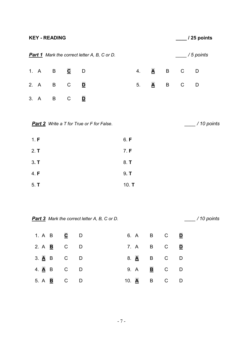# **KEY - READING \_\_\_\_ / 25 points** *Part 1 Mark the correct letter A, B, C or D. \_\_\_\_ / 5 points* 1. A B **C** D 2. A B C **D** 3. A B C **D** 4. **A** B C D 5. **A** B C D *Part 2 Write a T for True or F for False. \_\_\_\_ / 10 points* 1. **F** 2. **T** 3**. T** 4. **F** 5. **T** 6. **F** 7. **F** 8. **T** 9**. T** 10. **T**

*Part 3 Mark the correct letter A, B, C or D. \_\_\_\_ / 10 points*

| 1. A B C D            |       |          | 6. A B C           |              |              | D        |
|-----------------------|-------|----------|--------------------|--------------|--------------|----------|
| 2. A <b>B</b>         | $C$ D |          | 7. A               | $\mathsf B$  | $\mathbf C$  | D        |
| 3. A B C              |       | <b>D</b> | 8. A               | $\mathsf B$  | $\mathsf{C}$ | <b>D</b> |
| $4. \overline{A} B C$ |       | <b>D</b> | 9. A               | $\mathbf{B}$ | $\mathsf{C}$ | <b>D</b> |
| 5. A <b>B</b> C D     |       |          | 10. $\overline{A}$ | $\mathsf B$  | $\mathsf{C}$ | <b>D</b> |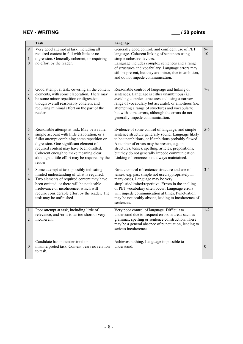# **KEY - WRITING \_\_\_ / 20 points**

|                                                     | <b>Task</b>                                                                                                                                                                                                                                                                                                                             | Language                                                                                                                                                                                                                                                                                                                                                                      |            |
|-----------------------------------------------------|-----------------------------------------------------------------------------------------------------------------------------------------------------------------------------------------------------------------------------------------------------------------------------------------------------------------------------------------|-------------------------------------------------------------------------------------------------------------------------------------------------------------------------------------------------------------------------------------------------------------------------------------------------------------------------------------------------------------------------------|------------|
| 9<br>$\mathbf{1}$<br>$\theta$                       | Very good attempt at task, including all<br>required content in full with little or no<br>digression. Generally coherent, or requiring<br>no effort by the reader.                                                                                                                                                                      | Generally good control, and confident use of PET<br>language. Coherent linking of sentences using<br>simple cohesive devices.<br>Language includes complex sentences and a range<br>of structures and vocabulary. Language errors may<br>still be present, but they are minor, due to ambition,<br>and do not impede communication.                                           | $9-$<br>10 |
| $\overline{7}$<br>8                                 | Good attempt at task, covering all the content<br>elements, with some elaboration. There may<br>be some minor repetition or digression,<br>though overall reasonably coherent and<br>requiring minimal effort on the part of the<br>reader.                                                                                             | Reasonable control of language and linking of<br>sentences. Language is either unambitious (i.e.<br>avoiding complex structures and using a narrow<br>range of vocabulary but accurate), or ambitious (i.e.<br>attempting a range of structures and vocabulary)<br>but with some errors, although the errors do not<br>generally impede communication.                        | $7 - 8$    |
| 5<br>6                                              | Reasonable attempt at task. May be a rather<br>simple account with little elaboration, or a<br>fuller attempt combining some repetition or<br>digression. One significant element of<br>required content may have been omitted.<br>Coherent enough to make meaning clear,<br>although a little effort may be required by the<br>reader. | Evidence of some control of language, and simple<br>sentence structure generally sound. Language likely<br>to be unambitious, or if ambitious probably flawed.<br>A number of errors may be present, e.g. in<br>structures, tenses, spelling, articles, prepositions,<br>but they do not generally impede communication.<br>Linking of sentences not always maintained.       | $5-6$      |
| 3<br>$\qquad \qquad \blacksquare$<br>$\overline{4}$ | Some attempt at task, possibly indicating<br>limited understanding of what is required.<br>Two elements of required content may have<br>been omitted, or there will be noticeable<br>irrelevance or incoherence, which will<br>require considerable effort by the reader. The<br>task may be unfinished.                                | Erratic control of sentence structure and use of<br>tenses, e.g. past simple not used appropriately in<br>many cases. Language may be very<br>simplistic/limited/repetitive. Errors in the spelling<br>of PET vocabulary often occur. Language errors<br>will impede communication at times. Punctuation<br>may be noticeably absent, leading to incoherence of<br>sentences. | $3 - 4$    |
| $\mathbf{I}$<br>2                                   | Poor attempt at task, including little of<br>relevance, and /or it is far too short or very<br>incoherent.                                                                                                                                                                                                                              | Very poor control of language. Difficult to<br>understand due to frequent errors in areas such as<br>grammar, spelling or sentence construction. There<br>may be a general absence of punctuation, leading to<br>serious incoherence.                                                                                                                                         | $1 - 2$    |
| $\boldsymbol{0}$                                    | Candidate has misunderstood or<br>misinterpreted task. Content bears no relation<br>to task.                                                                                                                                                                                                                                            | Achieves nothing. Language impossible to<br>understand.                                                                                                                                                                                                                                                                                                                       | $\theta$   |